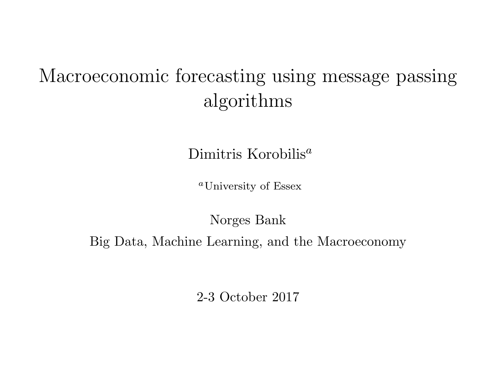# <span id="page-0-0"></span>Macroeconomic forecasting using message passing algorithms

Dimitris Korobilis<sup>a</sup>

<sup>a</sup>University of Essex

Norges Bank

Big Data, Machine Learning, and the Macroeconomy

2-3 October 2017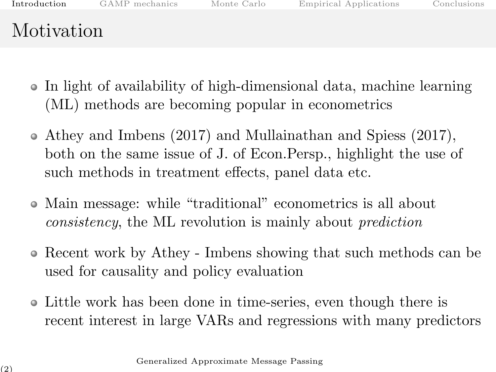<span id="page-1-0"></span>

| Introduction |  |  |
|--------------|--|--|
|              |  |  |

# Motivation

- In light of availability of high-dimensional data, machine learning (ML) methods are becoming popular in econometrics
- Athey and Imbens (2017) and Mullainathan and Spiess (2017), both on the same issue of J. of Econ.Persp., highlight the use of such methods in treatment effects, panel data etc.
- Main message: while "traditional" econometrics is all about consistency, the ML revolution is mainly about prediction
- Recent work by Athey Imbens showing that such methods can be used for causality and policy evaluation
- Little work has been done in time-series, even though there is recent interest in large VARs and regressions with many predictors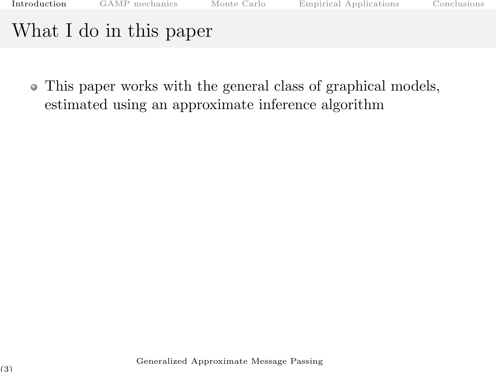This paper works with the general class of graphical models, estimated using an approximate inference algorithm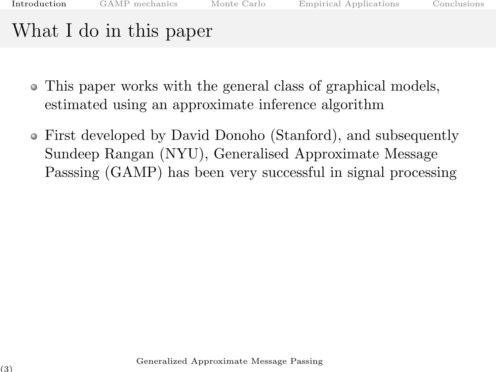- This paper works with the general class of graphical models, estimated using an approximate inference algorithm
- First developed by David Donoho (Stanford), and subsequently Sundeep Rangan (NYU), Generalised Approximate Message Passsing (GAMP) has been very successful in signal processing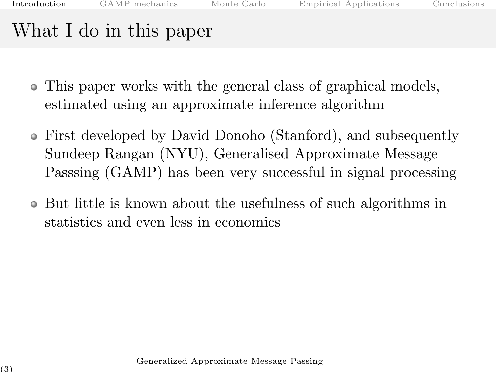- This paper works with the general class of graphical models, estimated using an approximate inference algorithm
- First developed by David Donoho (Stanford), and subsequently Sundeep Rangan (NYU), Generalised Approximate Message Passsing (GAMP) has been very successful in signal processing
- But little is known about the usefulness of such algorithms in statistics and even less in economics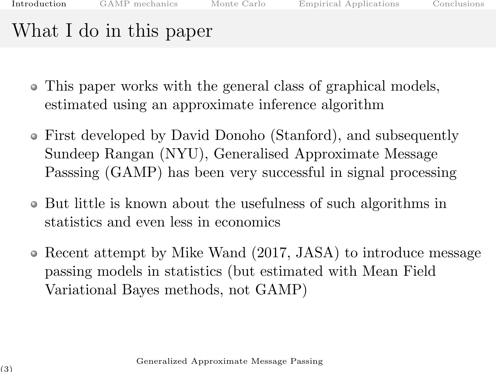- This paper works with the general class of graphical models, estimated using an approximate inference algorithm
- First developed by David Donoho (Stanford), and subsequently Sundeep Rangan (NYU), Generalised Approximate Message Passsing (GAMP) has been very successful in signal processing
- But little is known about the usefulness of such algorithms in statistics and even less in economics
- Recent attempt by Mike Wand (2017, JASA) to introduce message passing models in statistics (but estimated with Mean Field Variational Bayes methods, not GAMP)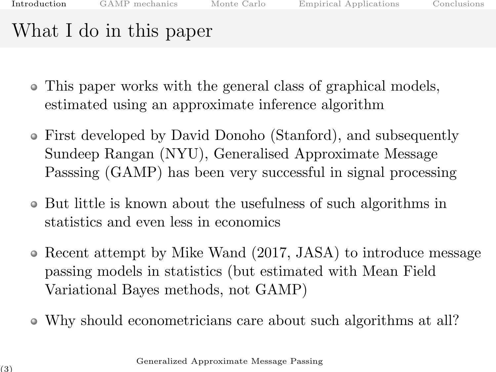- This paper works with the general class of graphical models, estimated using an approximate inference algorithm
- First developed by David Donoho (Stanford), and subsequently Sundeep Rangan (NYU), Generalised Approximate Message Passsing (GAMP) has been very successful in signal processing
- But little is known about the usefulness of such algorithms in statistics and even less in economics
- Recent attempt by Mike Wand (2017, JASA) to introduce message passing models in statistics (but estimated with Mean Field Variational Bayes methods, not GAMP)
- Why should econometricians care about such algorithms at all?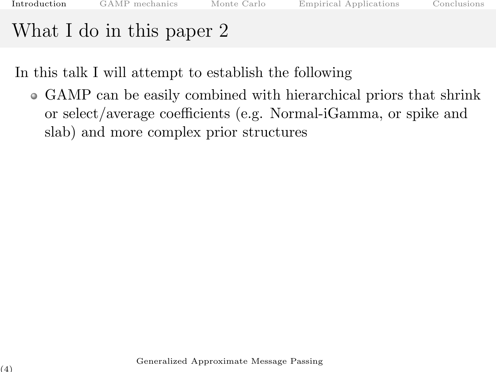In this talk I will attempt to establish the following

GAMP can be easily combined with hierarchical priors that shrink or select/average coefficients (e.g. Normal-iGamma, or spike and slab) and more complex prior structures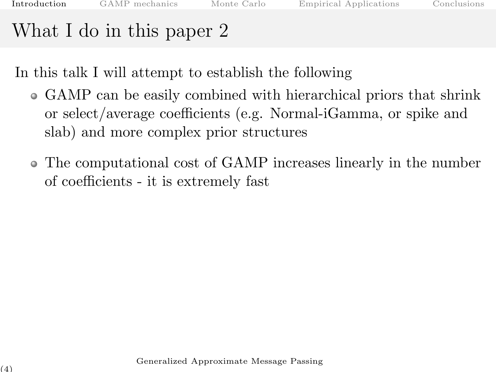In this talk I will attempt to establish the following

- GAMP can be easily combined with hierarchical priors that shrink or select/average coefficients (e.g. Normal-iGamma, or spike and slab) and more complex prior structures
- The computational cost of GAMP increases linearly in the number of coefficients - it is extremely fast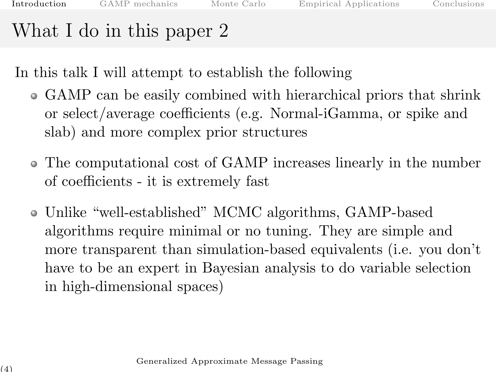In this talk I will attempt to establish the following

- GAMP can be easily combined with hierarchical priors that shrink or select/average coefficients (e.g. Normal-iGamma, or spike and slab) and more complex prior structures
- The computational cost of GAMP increases linearly in the number of coefficients - it is extremely fast
- Unlike "well-established" MCMC algorithms, GAMP-based algorithms require minimal or no tuning. They are simple and more transparent than simulation-based equivalents (i.e. you don't have to be an expert in Bayesian analysis to do variable selection in high-dimensional spaces)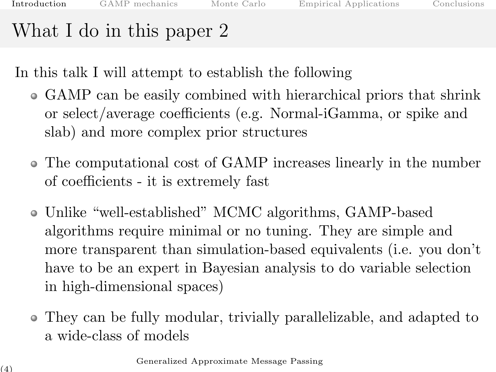In this talk I will attempt to establish the following

- GAMP can be easily combined with hierarchical priors that shrink or select/average coefficients (e.g. Normal-iGamma, or spike and slab) and more complex prior structures
- The computational cost of GAMP increases linearly in the number of coefficients - it is extremely fast
- Unlike "well-established" MCMC algorithms, GAMP-based algorithms require minimal or no tuning. They are simple and more transparent than simulation-based equivalents (i.e. you don't have to be an expert in Bayesian analysis to do variable selection in high-dimensional spaces)
- They can be fully modular, trivially parallelizable, and adapted to a wide-class of models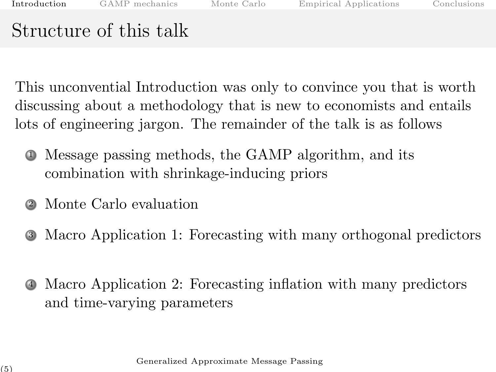# Structure of this talk

This unconvential Introduction was only to convince you that is worth discussing about a methodology that is new to economists and entails lots of engineering jargon. The remainder of the talk is as follows

- <sup>1</sup> Message passing methods, the GAMP algorithm, and its combination with shrinkage-inducing priors
- <sup>2</sup> Monte Carlo evaluation
- <sup>3</sup> Macro Application 1: Forecasting with many orthogonal predictors
- <sup>4</sup> Macro Application 2: Forecasting inflation with many predictors and time-varying parameters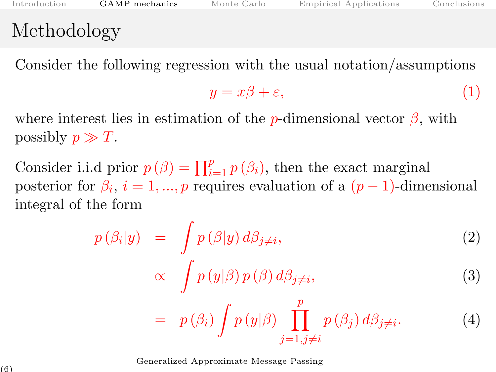#### <span id="page-12-0"></span>Methodology

Consider the following regression with the usual notation/assumptions

$$
y = x\beta + \varepsilon,\tag{1}
$$

where interest lies in estimation of the p-dimensional vector  $\beta$ , with possibly  $p \gg T$ .

Consider i.i.d prior  $p(\beta) = \prod_{i=1}^{p} p(\beta_i)$ , then the exact marginal posterior for  $\beta_i$ ,  $i = 1, ..., p$  requires evaluation of a  $(p-1)$ -dimensional integral of the form

$$
p(\beta_i|y) = \int p(\beta|y) d\beta_{j\neq i},
$$
\n
$$
\propto \int p(y|\beta) p(\beta) d\beta_{j\neq i},
$$
\n
$$
= p(\beta_i) \int p(y|\beta) \prod_{j=1, j\neq i}^{p} p(\beta_j) d\beta_{j\neq i}.
$$
\n(4)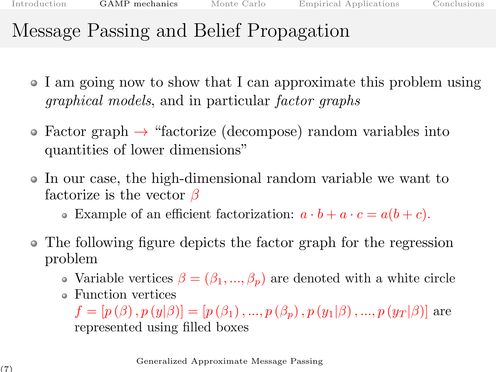### Message Passing and Belief Propagation

- I am going now to show that I can approximate this problem using graphical models, and in particular factor graphs
- Factor graph  $\rightarrow$  "factorize (decompose) random variables into quantities of lower dimensions"
- In our case, the high-dimensional random variable we want to factorize is the vector  $\beta$ 
	- Example of an efficient factorization:  $a \cdot b + a \cdot c = a(b+c)$ .
- The following figure depicts the factor graph for the regression problem
	- Variable vertices  $\beta = (\beta_1, ..., \beta_p)$  are denoted with a white circle
	- Function vertices

 $f = [p(\beta), p(y|\beta)] = [p(\beta_1), ..., p(\beta_p), p(y_1|\beta), ..., p(y_T|\beta)]$  are represented using filled boxes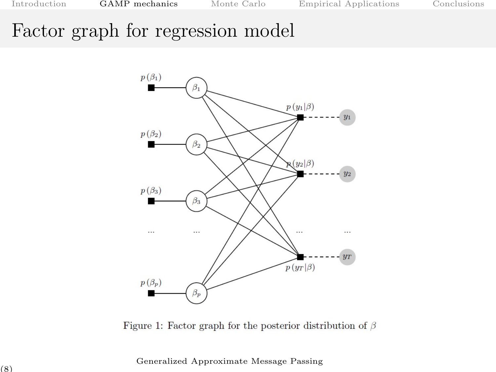#### Factor graph for regression model



Figure 1: Factor graph for the posterior distribution of  $\beta$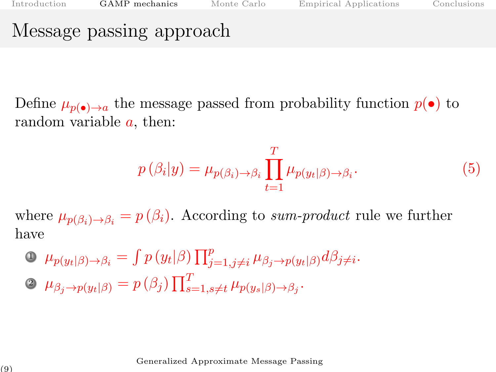#### Message passing approach

Define  $\mu_{p(\bullet)\to a}$  the message passed from probability function  $p(\bullet)$  to random variable  $a$ , then:

$$
p(\beta_i|y) = \mu_{p(\beta_i)\to\beta_i} \prod_{t=1}^T \mu_{p(y_t|\beta)\to\beta_i}.
$$
 (5)

where  $\mu_{p(\beta_i) \to \beta_i} = p(\beta_i)$ . According to sum-product rule we further have

 $\mathbf{D}$   $\mu_{p(y_t|\beta)\to\beta_i} = \int p(y_t|\beta) \prod_{j=1,j\neq i}^p \mu_{\beta_j \to p(y_t|\beta)} d\beta_j \neq i$ . 2  $\mu_{\beta_j \to p(y_t|\beta)} = p(\beta_j) \prod_{s=1, s \neq t}^T \mu_{p(y_s|\beta) \to \beta_j}$ .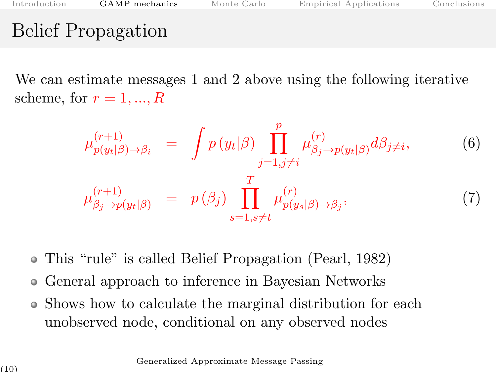### Belief Propagation

We can estimate messages 1 and 2 above using the following iterative scheme, for  $r = 1, ..., R$ 

$$
\mu_{p(y_t|\beta)\to\beta_i}^{(r+1)} = \int p(y_t|\beta) \prod_{j=1,j\neq i}^p \mu_{\beta_j \to p(y_t|\beta)}^{(r)} d\beta_{j\neq i},
$$
\n
$$
\mu_{\beta_j \to p(y_t|\beta)}^{(r+1)} = p(\beta_j) \prod_{s=1,s\neq t}^T \mu_{p(y_s|\beta) \to \beta_j}^{(r)},
$$
\n(7)

- This "rule" is called Belief Propagation (Pearl, 1982)
- General approach to inference in Bayesian Networks  $\bullet$
- Shows how to calculate the marginal distribution for each unobserved node, conditional on any observed nodes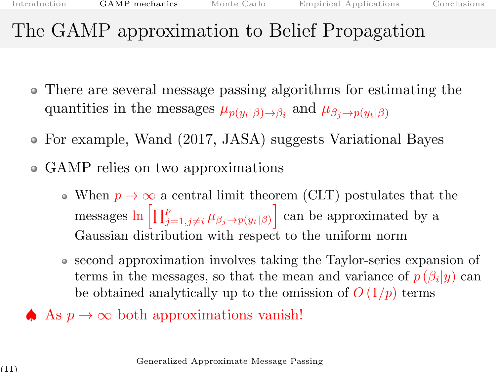### The GAMP approximation to Belief Propagation

- There are several message passing algorithms for estimating the quantities in the messages  $\mu_{p(y_t|\beta) \to \beta_i}$  and  $\mu_{\beta_j \to p(y_t|\beta)}$
- For example, Wand (2017, JASA) suggests Variational Bayes
- GAMP relies on two approximations
	- When  $p \to \infty$  a central limit theorem (CLT) postulates that the messages  $\ln \left[ \prod_{j=1,j\neq i}^p \mu_{\beta_j \to p(y_t|\beta)} \right]$  can be approximated by a Gaussian distribution with respect to the uniform norm
	- second approximation involves taking the Taylor-series expansion of terms in the messages, so that the mean and variance of  $p(\beta_i|y)$  can be obtained analytically up to the omission of  $O(1/p)$  terms
- As  $p \to \infty$  both approximations vanish!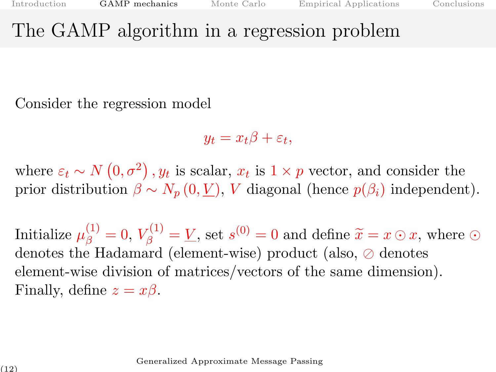#### The GAMP algorithm in a regression problem

Consider the regression model

 $y_t = x_t\beta + \varepsilon_t,$ 

where  $\varepsilon_t \sim N(0, \sigma^2)$ ,  $y_t$  is scalar,  $x_t$  is  $1 \times p$  vector, and consider the prior distribution  $\beta \sim N_p(0, V)$ , V diagonal (hence  $p(\beta_i)$ ) independent).

Initialize  $\mu_{\beta}^{(1)} = 0$ ,  $V_{\beta}^{(1)} = V$ , set  $s^{(0)} = 0$  and define  $\tilde{x} = x \odot x$ , where  $\odot$ denotes the Hadamard (element-wise) product (also,  $\oslash$  denotes element-wise division of matrices/vectors of the same dimension). Finally, define  $z = x\beta$ .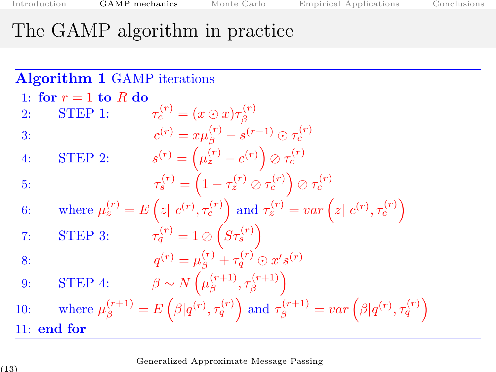# The GAMP algorithm in practice

|     |                        | <b>Algorithm 1 GAMP</b> iterations |                                                                                                                                                  |
|-----|------------------------|------------------------------------|--------------------------------------------------------------------------------------------------------------------------------------------------|
|     | 1: for $r = 1$ to R do |                                    |                                                                                                                                                  |
| 2:  | STEP 1:                |                                    | $\tau_c^{(r)} = (x \odot x) \tau_s^{(r)}$                                                                                                        |
| 3:  |                        |                                    | $c^{(r)} = x \mu_{\beta}^{(r)} - s^{(r-1)} \odot \tau_{c}^{(r)}$                                                                                 |
| 4:  | STEP 2:                |                                    | $s^{(r)} = (\mu_z^{(r)} - c^{(r)}) \oslash \tau_c^{(r)}$                                                                                         |
| 5:  |                        |                                    | $\tau_s^{(r)} = \left(1 - \tau_z^{(r)} \oslash \tau_c^{(r)}\right) \oslash \tau_c^{(r)}$                                                         |
| 6:  |                        |                                    | where $\mu_z^{(r)} = E\left(z \mid c^{(r)}, \tau_c^{(r)}\right)$ and $\tau_z^{(r)} = var\left(z \mid c^{(r)}, \tau_c^{(r)}\right)$               |
| 7:  | STEP 3:                |                                    | $\tau_q^{(r)} = 1 \oslash \left( S \tau_s^{(r)} \right)$                                                                                         |
| 8:  |                        |                                    | $q^{(r)} = \mu_{\beta}^{(r)} + \tau_q^{(r)} \odot x's^{(r)}$                                                                                     |
| 9:  | STEP 4:                |                                    | $\beta \sim N\left(\mu_{\beta}^{(r+1)}, \tau_{\beta}^{(r+1)}\right)$                                                                             |
| 10: |                        |                                    | where $\mu_{\beta}^{(r+1)} = E\left(\beta q^{(r)}, \tau_q^{(r)}\right)$ and $\tau_{\beta}^{(r+1)} = var\left(\beta q^{(r)}, \tau_q^{(r)}\right)$ |
|     | $11:$ end for          |                                    |                                                                                                                                                  |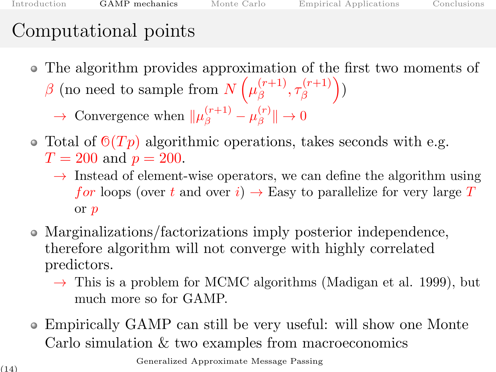# Computational points

- The algorithm provides approximation of the first two moments of
	- $\beta$  (no need to sample from  $N(\mu_{\beta}^{(r+1)})$  $\mathcal{F}^{(r+1)}_{\beta}, \tau^{(r+1)}_{\beta}$  $\binom{(r+1)}{\beta}$ 
		- $\rightarrow$  Convergence when  $\|\mu_{\beta}^{(r+1)} \mu_{\beta}^{(r)}\|$  $\mathcal{L}^{(r)}_{\beta}$   $\rightarrow 0$
- Total of  $\mathcal{O}(Tp)$  algorithmic operations, takes seconds with e.g.  $T = 200$  and  $p = 200$ .
	- $\rightarrow$  Instead of element-wise operators, we can define the algorithm using for loops (over t and over i)  $\rightarrow$  Easy to parallelize for very large T or p
- Marginalizations/factorizations imply posterior independence, therefore algorithm will not converge with highly correlated predictors.
	- $\rightarrow$  This is a problem for MCMC algorithms (Madigan et al. 1999), but much more so for GAMP.
- Empirically GAMP can still be very useful: will show one Monte Carlo simulation & two examples from macroeconomics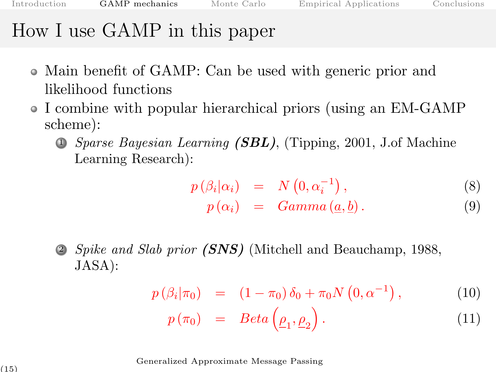#### How I use GAMP in this paper

- Main benefit of GAMP: Can be used with generic prior and likelihood functions
- I combine with popular hierarchical priors (using an EM-GAMP scheme):
	- $\bullet$  *Sparse Bayesian Learning (SBL)*, (Tipping, 2001, J.of Machine Learning Research):

$$
p\left(\beta_i|\alpha_i\right) = N\left(0, \alpha_i^{-1}\right),\tag{8}
$$

$$
p(\alpha_i) = Gamma(\underline{a}, \underline{b}). \qquad (9)
$$

Spike and Slab prior (SNS) (Mitchell and Beauchamp, 1988, JASA):

$$
p(\beta_i|\pi_0) = (1-\pi_0)\,\delta_0 + \pi_0 N(0,\alpha^{-1}), \qquad (10)
$$

$$
p(\pi_0) = Beta(\underline{\rho}_1, \underline{\rho}_2). \tag{11}
$$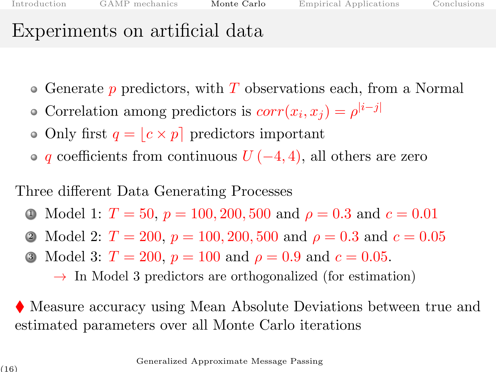# <span id="page-22-0"></span>Experiments on artificial data

- $\bullet$  Generate p predictors, with T observations each, from a Normal
- Correlation among predictors is  $corr(x_i, x_j) = \rho^{|i-j|}$
- Only first  $q = |c \times p|$  predictors important
- $\bullet$  q coefficients from continuous  $U(-4, 4)$ , all others are zero

Three different Data Generating Processes

- 1 Model 1:  $T = 50$ ,  $p = 100, 200, 500$  and  $\rho = 0.3$  and  $c = 0.01$
- 2 Model 2:  $T = 200$ ,  $p = 100, 200, 500$  and  $\rho = 0.3$  and  $c = 0.05$
- 3 Model 3:  $T = 200$ ,  $p = 100$  and  $\rho = 0.9$  and  $c = 0.05$ .

 $\rightarrow$  In Model 3 predictors are orthogonalized (for estimation)

 Measure accuracy using Mean Absolute Deviations between true and estimated parameters over all Monte Carlo iterations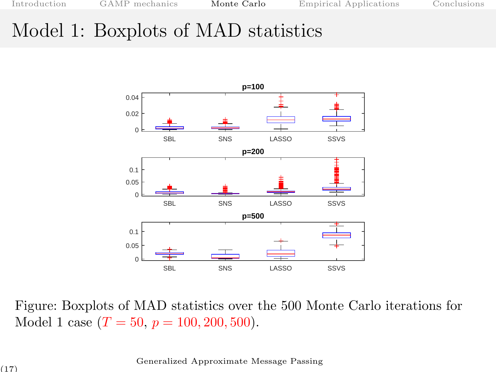#### Model 1: Boxplots of MAD statistics



Figure: Boxplots of MAD statistics over the 500 Monte Carlo iterations for Model 1 case  $(T = 50, p = 100, 200, 500)$ .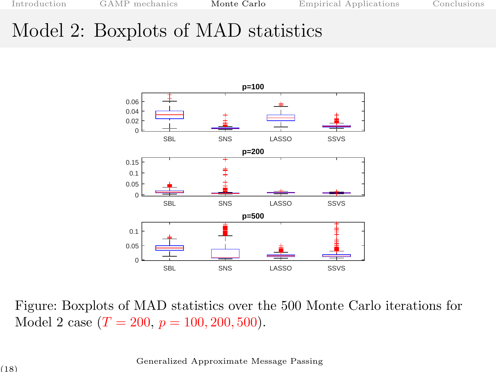### Model 2: Boxplots of MAD statistics



Figure: Boxplots of MAD statistics over the 500 Monte Carlo iterations for Model 2 case  $(T = 200, p = 100, 200, 500)$ .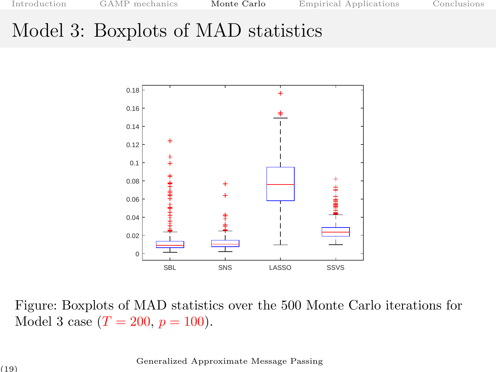[Introduction](#page-1-0) [GAMP mechanics](#page-12-0) **[Monte Carlo](#page-22-0)** [Empirical Applications](#page-27-0) [Conclusions](#page-36-0)

#### Model 3: Boxplots of MAD statistics



Figure: Boxplots of MAD statistics over the 500 Monte Carlo iterations for Model 3 case  $(T = 200, p = 100)$ .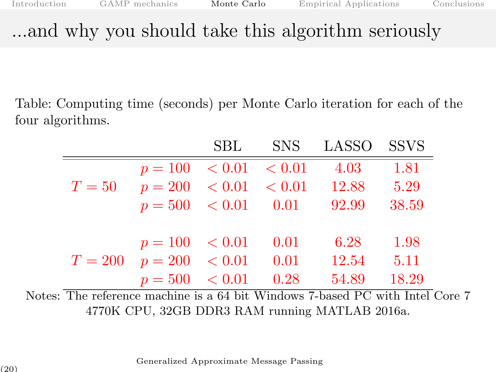### ...and why you should take this algorithm seriously

Table: Computing time (seconds) per Monte Carlo iteration for each of the four algorithms.

|        |                                | SBL |      | SNS LASSO SSVS |       |
|--------|--------------------------------|-----|------|----------------|-------|
|        | $p = 100 \le 0.01 \le 0.01$    |     |      | 4.03           | 1.81  |
| $T=50$ | $p = 200 \leq 0.01 \leq 0.01$  |     |      | 12.88          | 5.29  |
|        | $p = 500 \le 0.01 \qquad 0.01$ |     |      | 92.99          | 38.59 |
|        |                                |     |      |                |       |
|        | $p = 100 \le 0.01$             |     | 0.01 | 6.28           | 1.98  |
|        | $T = 200$ $p = 200$ $< 0.01$   |     | 0.01 | 12.54          | 5.11  |
|        | $p = 500 \lt 0.01$             |     | 0.28 | 54.89          | 18.29 |

Notes: The reference machine is a 64 bit Windows 7-based PC with Intel Core 7 4770K CPU, 32GB DDR3 RAM running MATLAB 2016a.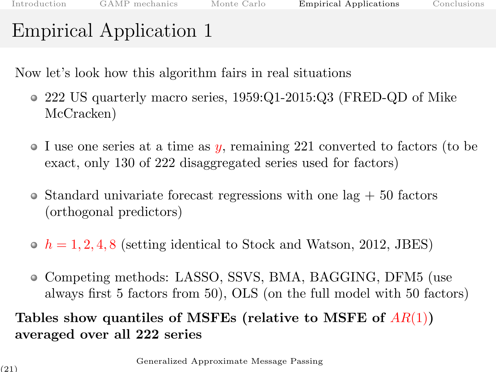<span id="page-27-0"></span>Now let's look how this algorithm fairs in real situations

- 222 US quarterly macro series, 1959:Q1-2015:Q3 (FRED-QD of Mike McCracken)
- I use one series at a time as y, remaining 221 converted to factors (to be exact, only 130 of 222 disaggregated series used for factors)
- $\bullet$  Standard univariate forecast regressions with one lag  $+50$  factors (orthogonal predictors)
- $\bullet$   $h = 1, 2, 4, 8$  (setting identical to Stock and Watson, 2012, JBES)
- Competing methods: LASSO, SSVS, BMA, BAGGING, DFM5 (use always first 5 factors from 50), OLS (on the full model with 50 factors)

#### Tables show quantiles of MSFEs (relative to MSFE of  $AR(1)$ ) averaged over all 222 series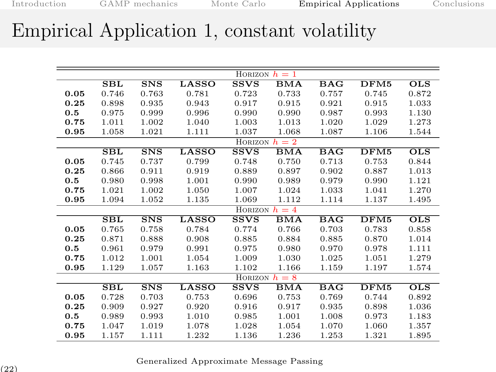#### Empirical Application 1, constant volatility

|      | HORIZON $h=1$ |                 |       |                 |            |            |       |                 |
|------|---------------|-----------------|-------|-----------------|------------|------------|-------|-----------------|
|      | SBL           | S <sub>NS</sub> | LASSO | <b>SSVS</b>     | BMA        | BAG        | DFM5  | $_{\rm OLS}$    |
| 0.05 | 0.746         | 0.763           | 0.781 | 0.723           | 0.733      | 0.757      | 0.745 | 0.872           |
| 0.25 | 0.898         | 0.935           | 0.943 | 0.917           | 0.915      | 0.921      | 0.915 | 1.033           |
| 0.5  | 0.975         | 0.999           | 0.996 | 0.990           | 0.990      | 0.987      | 0.993 | 1.130           |
| 0.75 | 1.011         | 1.002           | 1.040 | 1.003           | 1.013      | 1.020      | 1.029 | 1.273           |
| 0.95 | 1.058         | 1.021           | 1.111 | 1.037           | 1.068      | 1.087      | 1.106 | 1.544           |
|      |               |                 |       | HORIZON $h=2$   |            |            |       |                 |
|      | SBL           | <b>SNS</b>      | LASSO | <b>SSVS</b>     | <b>BMA</b> | <b>BAG</b> | DFM5  | <b>OLS</b>      |
| 0.05 | 0.745         | 0.737           | 0.799 | 0.748           | 0.750      | 0.713      | 0.753 | 0.844           |
| 0.25 | 0.866         | 0.911           | 0.919 | 0.889           | 0.897      | 0.902      | 0.887 | 1.013           |
| 0.5  | 0.980         | 0.998           | 1.001 | 0.990           | 0.989      | 0.979      | 0.990 | 1.121           |
| 0.75 | 1.021         | 1.002           | 1.050 | 1.007           | 1.024      | 1.033      | 1.041 | 1.270           |
| 0.95 | 1.094         | 1.052           | 1.135 | 1.069           | 1.112      | 1.114      | 1.137 | 1.495           |
|      |               |                 |       | HORIZON $h = 4$ |            |            |       |                 |
|      | $\bf SBL$     | S <sub>NS</sub> | LASSO | <b>SSVS</b>     | <b>BMA</b> | <b>BAG</b> | DFM5  | $_{\text{OLS}}$ |
| 0.05 | 0.765         | 0.758           | 0.784 | 0.774           | 0.766      | 0.703      | 0.783 | 0.858           |
| 0.25 | 0.871         | 0.888           | 0.908 | 0.885           | 0.884      | 0.885      | 0.870 | 1.014           |
| 0.5  | 0.961         | 0.979           | 0.991 | 0.975           | 0.980      | 0.970      | 0.978 | 1.111           |
| 0.75 | 1.012         | 1.001           | 1.054 | 1.009           | 1.030      | 1.025      | 1.051 | 1.279           |
| 0.95 | 1.129         | 1.057           | 1.163 | 1.102           | 1.166      | 1.159      | 1.197 | 1.574           |
|      |               |                 |       | HORIZON $h=8$   |            |            |       |                 |
|      | SBL           | S <sub>NS</sub> | LASSO | <b>SSVS</b>     | BMA        | <b>BAG</b> | DFM5  | <b>OLS</b>      |
| 0.05 | 0.728         | 0.703           | 0.753 | 0.696           | 0.753      | 0.769      | 0.744 | 0.892           |
| 0.25 | 0.909         | 0.927           | 0.920 | 0.916           | 0.917      | 0.935      | 0.898 | 1.036           |
| 0.5  | 0.989         | 0.993           | 1.010 | 0.985           | 1.001      | 1.008      | 0.973 | 1.183           |
| 0.75 | 1.047         | 1.019           | 1.078 | 1.028           | 1.054      | 1.070      | 1.060 | 1.357           |
| 0.95 | 1.157         | 1.111           | 1.232 | 1.136           | 1.236      | 1.253      | 1.321 | 1.895           |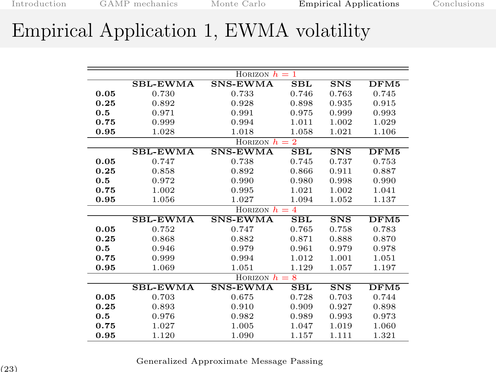### Empirical Application 1, EWMA volatility

|      | HORIZON $h=1$   |                 |              |                 |       |  |  |
|------|-----------------|-----------------|--------------|-----------------|-------|--|--|
|      | <b>SBL-EWMA</b> | <b>SNS-EWMA</b> | $_{\rm SBL}$ | S <sub>NS</sub> | DFM5  |  |  |
| 0.05 | 0.730           | 0.733           | 0.746        | 0.763           | 0.745 |  |  |
| 0.25 | 0.892           | 0.928           | 0.898        | 0.935           | 0.915 |  |  |
| 0.5  | 0.971           | 0.991           | 0.975        | 0.999           | 0.993 |  |  |
| 0.75 | 0.999           | 0.994           | 1.011        | 1.002           | 1.029 |  |  |
| 0.95 | 1.028           | 1.018           | 1.058        | 1.021           | 1.106 |  |  |
|      |                 | HORIZON $h=2$   |              |                 |       |  |  |
|      | <b>SBL-EWMA</b> | <b>SNS-EWMA</b> | $_{\rm SBL}$ | S <sub>NS</sub> | DFM5  |  |  |
| 0.05 | 0.747           | 0.738           | 0.745        | 0.737           | 0.753 |  |  |
| 0.25 | 0.858           | 0.892           | 0.866        | 0.911           | 0.887 |  |  |
| 0.5  | 0.972           | 0.990           | 0.980        | 0.998           | 0.990 |  |  |
| 0.75 | 1.002           | 0.995           | 1.021        | 1.002           | 1.041 |  |  |
| 0.95 | 1.056           | 1.027           | 1.094        | 1.052           | 1.137 |  |  |
|      | HORIZON $h = 4$ |                 |              |                 |       |  |  |
|      | <b>SBL-EWMA</b> | <b>SNS-EWMA</b> | SBL          | <b>SNS</b>      | DFM5  |  |  |
| 0.05 | 0.752           | 0.747           | 0.765        | 0.758           | 0.783 |  |  |
| 0.25 | 0.868           | 0.882           | 0.871        | 0.888           | 0.870 |  |  |
| 0.5  | 0.946           | 0.979           | 0.961        | 0.979           | 0.978 |  |  |
| 0.75 | 0.999           | 0.994           | 1.012        | 1.001           | 1.051 |  |  |
| 0.95 | 1.069           | 1.051           | 1.129        | 1.057           | 1.197 |  |  |
|      | HORIZON $h=8$   |                 |              |                 |       |  |  |
|      | <b>SBL-EWMA</b> | <b>SNS-EWMA</b> | $_{\rm SBL}$ | S <sub>N</sub>  | DFM5  |  |  |
| 0.05 | 0.703           | 0.675           | 0.728        | 0.703           | 0.744 |  |  |
| 0.25 | 0.893           | 0.910           | 0.909        | 0.927           | 0.898 |  |  |
| 0.5  | 0.976           | 0.982           | 0.989        | 0.993           | 0.973 |  |  |
| 0.75 | 1.027           | 1.005           | 1.047        | 1.019           | 1.060 |  |  |
| 0.95 | 1.120           | 1.090           | 1.157        | 1.111           | 1.321 |  |  |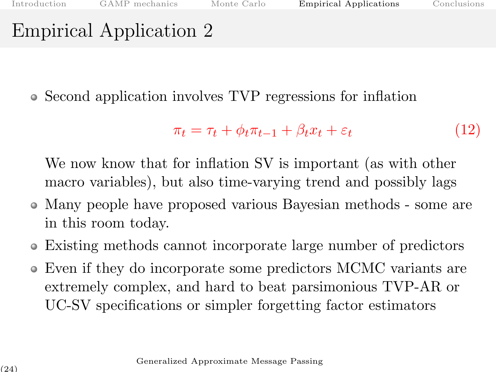Second application involves TVP regressions for inflation

$$
\pi_t = \tau_t + \phi_t \pi_{t-1} + \beta_t x_t + \varepsilon_t \tag{12}
$$

We now know that for inflation SV is important (as with other macro variables), but also time-varying trend and possibly lags

- Many people have proposed various Bayesian methods some are in this room today.
- Existing methods cannot incorporate large number of predictors
- Even if they do incorporate some predictors MCMC variants are extremely complex, and hard to beat parsimonious TVP-AR or UC-SV specifications or simpler forgetting factor estimators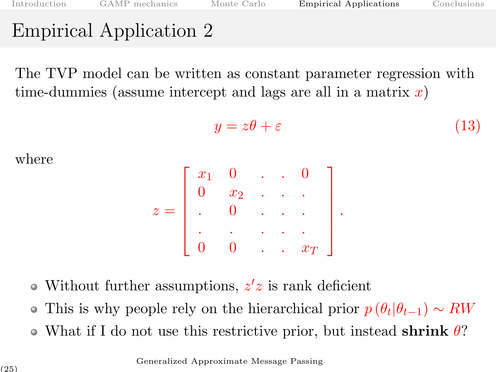The TVP model can be written as constant parameter regression with time-dummies (assume intercept and lags are all in a matrix  $x$ )

$$
y = z\theta + \varepsilon \tag{13}
$$

where

$$
z = \left[ \begin{array}{cccc} x_1 & 0 & \ldots & 0 \\ 0 & x_2 & \ldots & \ldots \\ \ldots & 0 & \ldots & \ldots \\ 0 & 0 & \ldots & x_T \end{array} \right].
$$

- Without further assumptions,  $z'z$  is rank deficient
- This is why people rely on the hierarchical prior  $p(\theta_t|\theta_{t-1}) \sim RW$
- What if I do not use this restrictive prior, but instead shrink  $\theta$ ?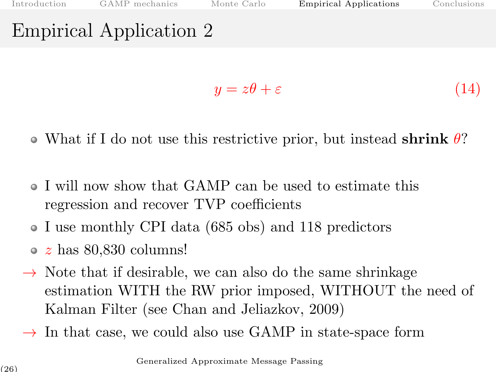$$
y = z\theta + \varepsilon \tag{14}
$$

- What if I do not use this restrictive prior, but instead shrink  $\theta$ ?
- I will now show that GAMP can be used to estimate this regression and recover TVP coefficients
- I use monthly CPI data (685 obs) and 118 predictors
- $\circ$  z has 80,830 columns!
- $\rightarrow$  Note that if desirable, we can also do the same shrinkage estimation WITH the RW prior imposed, WITHOUT the need of Kalman Filter (see Chan and Jeliazkov, 2009)
- $\rightarrow$  In that case, we could also use GAMP in state-space form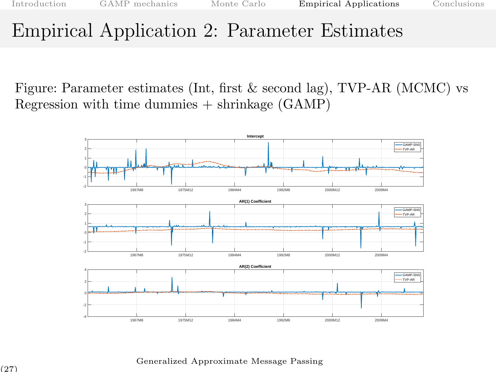#### Empirical Application 2: Parameter Estimates

Figure: Parameter estimates (Int, first & second lag), TVP-AR (MCMC) vs Regression with time dummies  $+$  shrinkage (GAMP)

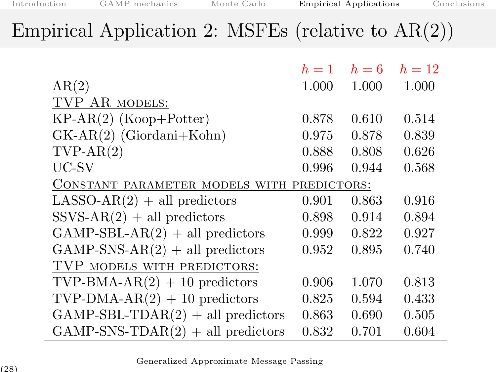### Empirical Application 2: MSFEs (relative to  $AR(2)$ )

|                                            | $h=1$ | $h=6$ | $h=12$ |
|--------------------------------------------|-------|-------|--------|
| AR(2)                                      | 1.000 | 1.000 | 1.000  |
| TVP AR MODELS:                             |       |       |        |
| $KP-AR(2)$ (Koop+Potter)                   | 0.878 | 0.610 | 0.514  |
| $GK-AR(2)$ (Giordani+Kohn)                 | 0.975 | 0.878 | 0.839  |
| $TVP-AR(2)$                                | 0.888 | 0.808 | 0.626  |
| UC-SV                                      | 0.996 | 0.944 | 0.568  |
| CONSTANT PARAMETER MODELS WITH PREDICTORS: |       |       |        |
| $LASSO-AR(2) + all predictors$             | 0.901 | 0.863 | 0.916  |
| $SSVS-AR(2) + all predictors$              | 0.898 | 0.914 | 0.894  |
| $GAMP-SBL-AR(2) + all predictors$          | 0.999 | 0.822 | 0.927  |
| $GAMP-SNS-AR(2) + all predictors$          | 0.952 | 0.895 | 0.740  |
| TVP MODELS WITH PREDICTORS:                |       |       |        |
| TVP-BMA-AR $(2) + 10$ predictors           | 0.906 | 1.070 | 0.813  |
| TVP-DMA-AR $(2) + 10$ predictors           | 0.825 | 0.594 | 0.433  |
| $GAMP-SBL-TDAR(2) + all predictors$        | 0.863 | 0.690 | 0.505  |
| $GAMP-SNS-TDAR(2) + all predictors$        | 0.832 | 0.701 | 0.604  |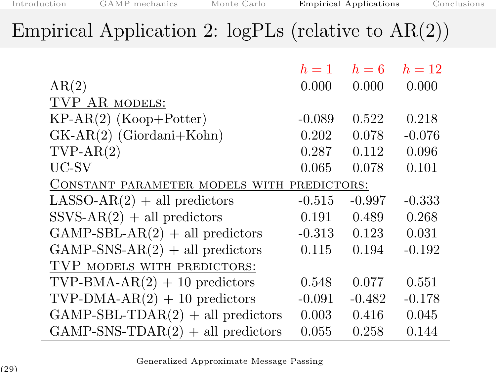# Empirical Application 2:  $logPLs$  (relative to  $AR(2)$ )

|                                            | $h=1$    | $h=6$    | $h=12$   |
|--------------------------------------------|----------|----------|----------|
| AR(2)                                      | 0.000    | 0.000    | 0.000    |
| TVP AR MODELS:                             |          |          |          |
| $KP-AR(2)$ (Koop+Potter)                   | $-0.089$ | 0.522    | 0.218    |
| $GK-AR(2)$ (Giordani+Kohn)                 | 0.202    | 0.078    | $-0.076$ |
| $TVP-AR(2)$                                | 0.287    | 0.112    | 0.096    |
| UC-SV                                      | 0.065    | 0.078    | 0.101    |
| CONSTANT PARAMETER MODELS WITH PREDICTORS: |          |          |          |
| $LASSO-AR(2) + all predictors$             | $-0.515$ | $-0.997$ | $-0.333$ |
| $SSVS-AR(2) + all predictors$              | 0.191    | 0.489    | 0.268    |
| $GAMP-SBL-AR(2) + all predictors$          | $-0.313$ | 0.123    | 0.031    |
| $GAMP-SNS-AR(2) + all predictors$          | 0.115    | 0.194    | $-0.192$ |
| TVP MODELS WITH PREDICTORS:                |          |          |          |
| TVP-BMA-AR $(2)$ + 10 predictors           | 0.548    | 0.077    | 0.551    |
| TVP-DMA-AR $(2)$ + 10 predictors           | $-0.091$ | $-0.482$ | $-0.178$ |
| $GAMP-SBL-TDAR(2) + all predictors$        | 0.003    | 0.416    | 0.045    |
| $GAMP-SNS-TDAR(2) + all predictors$        | 0.055    | 0.258    | 0.144    |